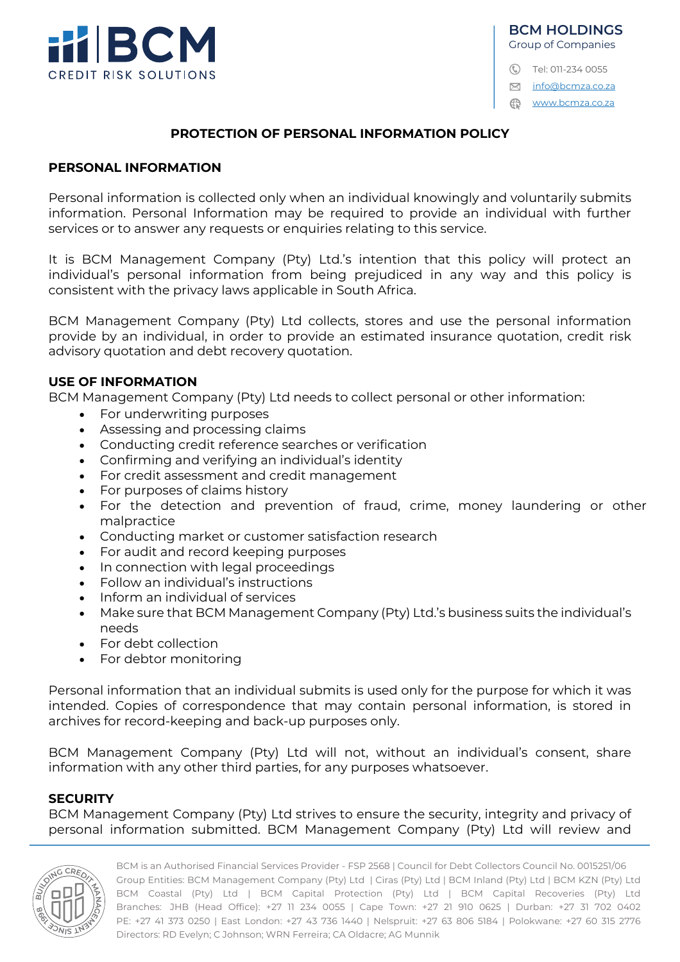

#### **BCM HOLDINGS** Group of Companies

- C Tel: 011-234 0055
- $⊠$  info@bcmza.co.za

www.bcmza.co.za

#### **PROTECTION OF PERSONAL INFORMATION POLICY**

#### **PERSONAL INFORMATION**

Personal information is collected only when an individual knowingly and voluntarily submits information. Personal Information may be required to provide an individual with further services or to answer any requests or enquiries relating to this service.

It is BCM Management Company (Pty) Ltd.'s intention that this policy will protect an individual's personal information from being prejudiced in any way and this policy is consistent with the privacy laws applicable in South Africa.

BCM Management Company (Pty) Ltd collects, stores and use the personal information provide by an individual, in order to provide an estimated insurance quotation, credit risk advisory quotation and debt recovery quotation.

#### **USE OF INFORMATION**

BCM Management Company (Pty) Ltd needs to collect personal or other information:

- For underwriting purposes
- Assessing and processing claims
- Conducting credit reference searches or verification
- Confirming and verifying an individual's identity
- For credit assessment and credit management
- For purposes of claims history
- For the detection and prevention of fraud, crime, money laundering or other malpractice
- Conducting market or customer satisfaction research
- For audit and record keeping purposes
- In connection with legal proceedings
- Follow an individual's instructions
- Inform an individual of services
- Make sure that BCM Management Company (Pty) Ltd.'s business suits the individual's needs
- For debt collection
- For debtor monitoring

Personal information that an individual submits is used only for the purpose for which it was intended. Copies of correspondence that may contain personal information, is stored in archives for record-keeping and back-up purposes only.

BCM Management Company (Pty) Ltd will not, without an individual's consent, share information with any other third parties, for any purposes whatsoever.

### **SECURITY**

BCM Management Company (Pty) Ltd strives to ensure the security, integrity and privacy of personal information submitted. BCM Management Company (Pty) Ltd will review and

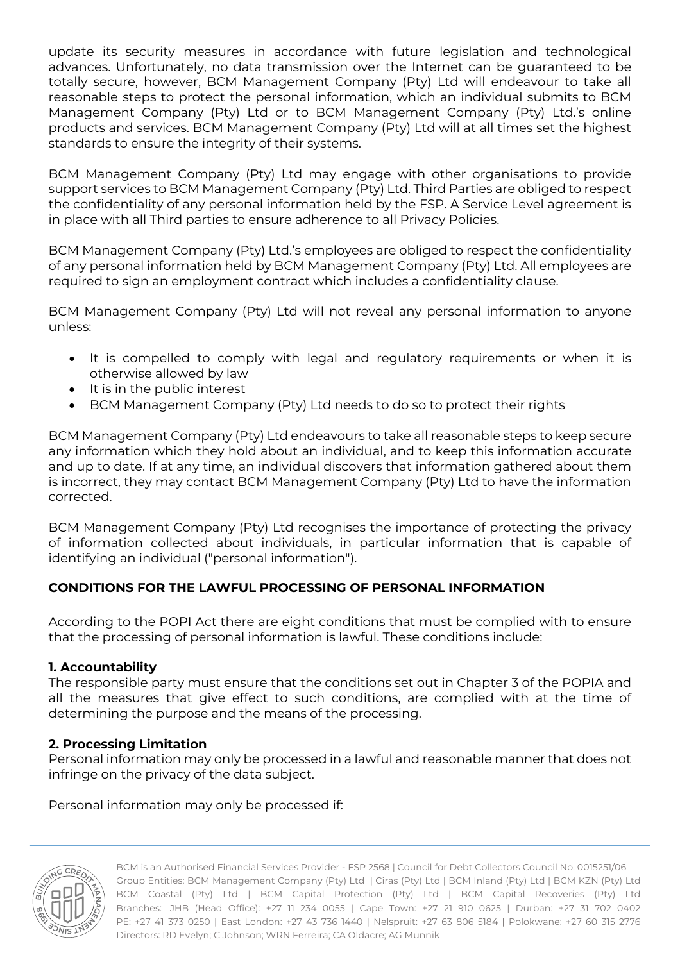update its security measures in accordance with future legislation and technological advances. Unfortunately, no data transmission over the Internet can be guaranteed to be totally secure, however, BCM Management Company (Pty) Ltd will endeavour to take all reasonable steps to protect the personal information, which an individual submits to BCM Management Company (Pty) Ltd or to BCM Management Company (Pty) Ltd.'s online products and services. BCM Management Company (Pty) Ltd will at all times set the highest standards to ensure the integrity of their systems.

BCM Management Company (Pty) Ltd may engage with other organisations to provide support services to BCM Management Company (Pty) Ltd. Third Parties are obliged to respect the confidentiality of any personal information held by the FSP. A Service Level agreement is in place with all Third parties to ensure adherence to all Privacy Policies.

BCM Management Company (Pty) Ltd.'s employees are obliged to respect the confidentiality of any personal information held by BCM Management Company (Pty) Ltd. All employees are required to sign an employment contract which includes a confidentiality clause.

BCM Management Company (Pty) Ltd will not reveal any personal information to anyone unless:

- It is compelled to comply with legal and regulatory requirements or when it is otherwise allowed by law
- It is in the public interest
- BCM Management Company (Pty) Ltd needs to do so to protect their rights

BCM Management Company (Pty) Ltd endeavours to take all reasonable steps to keep secure any information which they hold about an individual, and to keep this information accurate and up to date. If at any time, an individual discovers that information gathered about them is incorrect, they may contact BCM Management Company (Pty) Ltd to have the information corrected.

BCM Management Company (Pty) Ltd recognises the importance of protecting the privacy of information collected about individuals, in particular information that is capable of identifying an individual ("personal information").

# **CONDITIONS FOR THE LAWFUL PROCESSING OF PERSONAL INFORMATION**

According to the POPI Act there are eight conditions that must be complied with to ensure that the processing of personal information is lawful. These conditions include:

### **1. Accountability**

The responsible party must ensure that the conditions set out in Chapter 3 of the POPIA and all the measures that give effect to such conditions, are complied with at the time of determining the purpose and the means of the processing.

### **2. Processing Limitation**

Personal information may only be processed in a lawful and reasonable manner that does not infringe on the privacy of the data subject.

Personal information may only be processed if:

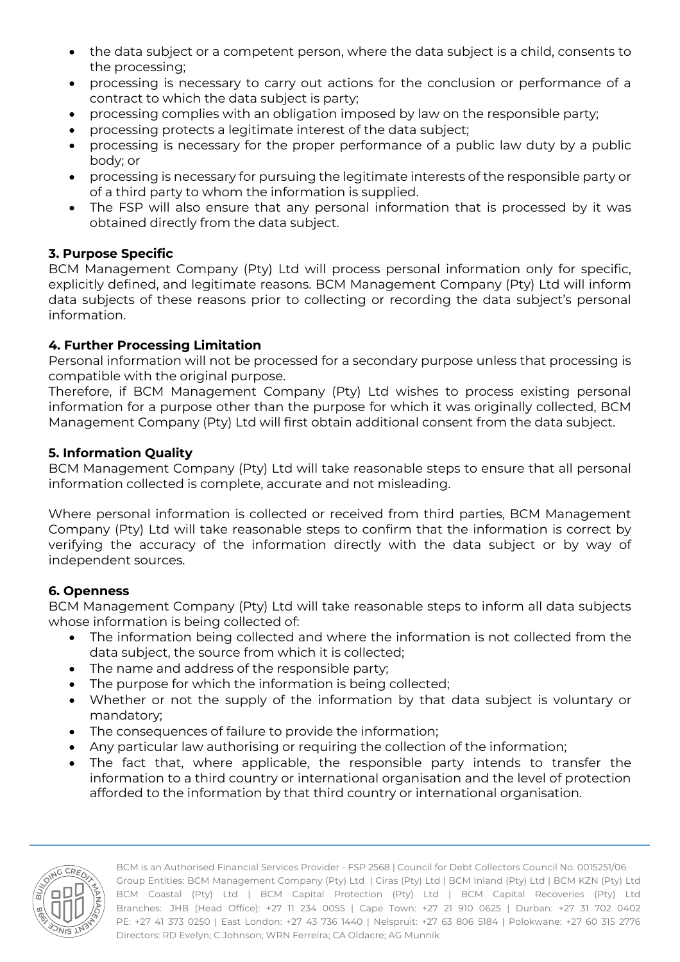- the data subject or a competent person, where the data subject is a child, consents to the processing;
- processing is necessary to carry out actions for the conclusion or performance of a contract to which the data subject is party;
- processing complies with an obligation imposed by law on the responsible party;
- processing protects a legitimate interest of the data subject;
- processing is necessary for the proper performance of a public law duty by a public body; or
- processing is necessary for pursuing the legitimate interests of the responsible party or of a third party to whom the information is supplied.
- The FSP will also ensure that any personal information that is processed by it was obtained directly from the data subject.

# **3. Purpose Specific**

BCM Management Company (Pty) Ltd will process personal information only for specific, explicitly defined, and legitimate reasons. BCM Management Company (Pty) Ltd will inform data subjects of these reasons prior to collecting or recording the data subject's personal information.

# **4. Further Processing Limitation**

Personal information will not be processed for a secondary purpose unless that processing is compatible with the original purpose.

Therefore, if BCM Management Company (Pty) Ltd wishes to process existing personal information for a purpose other than the purpose for which it was originally collected, BCM Management Company (Pty) Ltd will first obtain additional consent from the data subject.

## **5. Information Quality**

BCM Management Company (Pty) Ltd will take reasonable steps to ensure that all personal information collected is complete, accurate and not misleading.

Where personal information is collected or received from third parties, BCM Management Company (Pty) Ltd will take reasonable steps to confirm that the information is correct by verifying the accuracy of the information directly with the data subject or by way of independent sources.

# **6. Openness**

BCM Management Company (Pty) Ltd will take reasonable steps to inform all data subjects whose information is being collected of:

- The information being collected and where the information is not collected from the data subject, the source from which it is collected;
- The name and address of the responsible party;
- The purpose for which the information is being collected;
- Whether or not the supply of the information by that data subject is voluntary or mandatory;
- The consequences of failure to provide the information;
- Any particular law authorising or requiring the collection of the information;
- The fact that, where applicable, the responsible party intends to transfer the information to a third country or international organisation and the level of protection afforded to the information by that third country or international organisation.